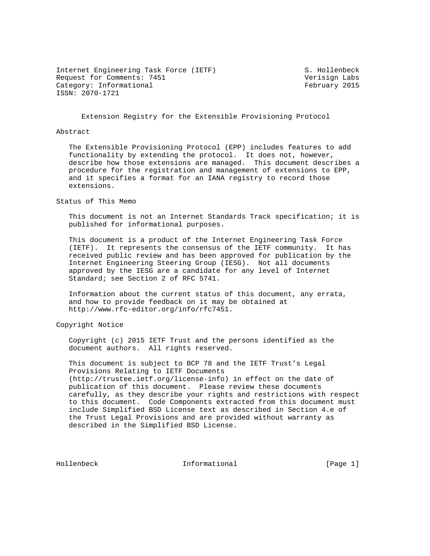Internet Engineering Task Force (IETF) S. Hollenbeck Request for Comments: 7451 Verisign Labs Category: Informational example of the February 2015 ISSN: 2070-1721

Extension Registry for the Extensible Provisioning Protocol

### Abstract

 The Extensible Provisioning Protocol (EPP) includes features to add functionality by extending the protocol. It does not, however, describe how those extensions are managed. This document describes a procedure for the registration and management of extensions to EPP, and it specifies a format for an IANA registry to record those extensions.

Status of This Memo

 This document is not an Internet Standards Track specification; it is published for informational purposes.

 This document is a product of the Internet Engineering Task Force (IETF). It represents the consensus of the IETF community. It has received public review and has been approved for publication by the Internet Engineering Steering Group (IESG). Not all documents approved by the IESG are a candidate for any level of Internet Standard; see Section 2 of RFC 5741.

 Information about the current status of this document, any errata, and how to provide feedback on it may be obtained at http://www.rfc-editor.org/info/rfc7451.

Copyright Notice

 Copyright (c) 2015 IETF Trust and the persons identified as the document authors. All rights reserved.

 This document is subject to BCP 78 and the IETF Trust's Legal Provisions Relating to IETF Documents (http://trustee.ietf.org/license-info) in effect on the date of publication of this document. Please review these documents carefully, as they describe your rights and restrictions with respect to this document. Code Components extracted from this document must include Simplified BSD License text as described in Section 4.e of the Trust Legal Provisions and are provided without warranty as described in the Simplified BSD License.

Hollenbeck **Informational** [Page 1]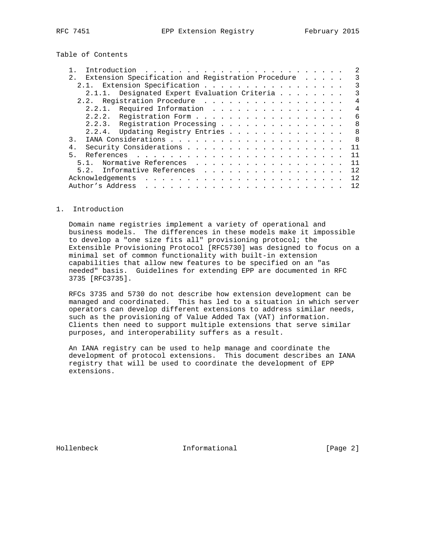Table of Contents

| Extension Specification and Registration Procedure<br>2.                                                                                                                                                                                          |  |  | 3   |
|---------------------------------------------------------------------------------------------------------------------------------------------------------------------------------------------------------------------------------------------------|--|--|-----|
| Extension Specification<br>$2.1$ .                                                                                                                                                                                                                |  |  |     |
| 2.1.1. Designated Expert Evaluation Criteria                                                                                                                                                                                                      |  |  | 3   |
| 2.2. Registration Procedure                                                                                                                                                                                                                       |  |  | 4   |
| 2.2.1. Required Information                                                                                                                                                                                                                       |  |  | 4   |
| 2.2.2. Registration Form                                                                                                                                                                                                                          |  |  | 6   |
| 2.2.3. Reqistration Processing                                                                                                                                                                                                                    |  |  | 8   |
| 2.2.4. Updating Registry Entries                                                                                                                                                                                                                  |  |  | 8   |
| $\mathcal{R}$                                                                                                                                                                                                                                     |  |  | 8   |
| $4$ .                                                                                                                                                                                                                                             |  |  | 11  |
| 5 <sub>1</sub>                                                                                                                                                                                                                                    |  |  | 11  |
| Normative References<br>5.1.                                                                                                                                                                                                                      |  |  | 11  |
| Informative References<br>5.2.                                                                                                                                                                                                                    |  |  | 12  |
| Acknowledgements                                                                                                                                                                                                                                  |  |  | 12. |
| Author's Address<br>a construction of the construction of the construction of the construction of the construction of the construction of the construction of the construction of the construction of the construction of the construction of the |  |  | 12. |

## 1. Introduction

 Domain name registries implement a variety of operational and business models. The differences in these models make it impossible to develop a "one size fits all" provisioning protocol; the Extensible Provisioning Protocol [RFC5730] was designed to focus on a minimal set of common functionality with built-in extension capabilities that allow new features to be specified on an "as needed" basis. Guidelines for extending EPP are documented in RFC 3735 [RFC3735].

 RFCs 3735 and 5730 do not describe how extension development can be managed and coordinated. This has led to a situation in which server operators can develop different extensions to address similar needs, such as the provisioning of Value Added Tax (VAT) information. Clients then need to support multiple extensions that serve similar purposes, and interoperability suffers as a result.

 An IANA registry can be used to help manage and coordinate the development of protocol extensions. This document describes an IANA registry that will be used to coordinate the development of EPP extensions.

Hollenbeck **Informational** [Page 2]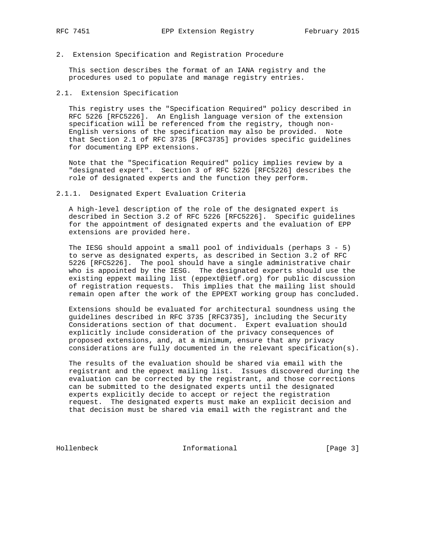2. Extension Specification and Registration Procedure

 This section describes the format of an IANA registry and the procedures used to populate and manage registry entries.

### 2.1. Extension Specification

 This registry uses the "Specification Required" policy described in RFC 5226 [RFC5226]. An English language version of the extension specification will be referenced from the registry, though non- English versions of the specification may also be provided. Note that Section 2.1 of RFC 3735 [RFC3735] provides specific guidelines for documenting EPP extensions.

 Note that the "Specification Required" policy implies review by a "designated expert". Section 3 of RFC 5226 [RFC5226] describes the role of designated experts and the function they perform.

### 2.1.1. Designated Expert Evaluation Criteria

 A high-level description of the role of the designated expert is described in Section 3.2 of RFC 5226 [RFC5226]. Specific guidelines for the appointment of designated experts and the evaluation of EPP extensions are provided here.

 The IESG should appoint a small pool of individuals (perhaps 3 - 5) to serve as designated experts, as described in Section 3.2 of RFC 5226 [RFC5226]. The pool should have a single administrative chair who is appointed by the IESG. The designated experts should use the existing eppext mailing list (eppext@ietf.org) for public discussion of registration requests. This implies that the mailing list should remain open after the work of the EPPEXT working group has concluded.

 Extensions should be evaluated for architectural soundness using the guidelines described in RFC 3735 [RFC3735], including the Security Considerations section of that document. Expert evaluation should explicitly include consideration of the privacy consequences of proposed extensions, and, at a minimum, ensure that any privacy considerations are fully documented in the relevant specification(s).

 The results of the evaluation should be shared via email with the registrant and the eppext mailing list. Issues discovered during the evaluation can be corrected by the registrant, and those corrections can be submitted to the designated experts until the designated experts explicitly decide to accept or reject the registration request. The designated experts must make an explicit decision and that decision must be shared via email with the registrant and the

Hollenbeck **Informational** [Page 3]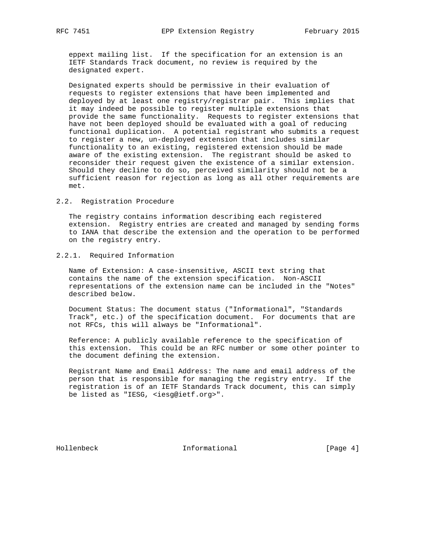eppext mailing list. If the specification for an extension is an IETF Standards Track document, no review is required by the designated expert.

 Designated experts should be permissive in their evaluation of requests to register extensions that have been implemented and deployed by at least one registry/registrar pair. This implies that it may indeed be possible to register multiple extensions that provide the same functionality. Requests to register extensions that have not been deployed should be evaluated with a goal of reducing functional duplication. A potential registrant who submits a request to register a new, un-deployed extension that includes similar functionality to an existing, registered extension should be made aware of the existing extension. The registrant should be asked to reconsider their request given the existence of a similar extension. Should they decline to do so, perceived similarity should not be a sufficient reason for rejection as long as all other requirements are met.

## 2.2. Registration Procedure

 The registry contains information describing each registered extension. Registry entries are created and managed by sending forms to IANA that describe the extension and the operation to be performed on the registry entry.

### 2.2.1. Required Information

 Name of Extension: A case-insensitive, ASCII text string that contains the name of the extension specification. Non-ASCII representations of the extension name can be included in the "Notes" described below.

 Document Status: The document status ("Informational", "Standards Track", etc.) of the specification document. For documents that are not RFCs, this will always be "Informational".

 Reference: A publicly available reference to the specification of this extension. This could be an RFC number or some other pointer to the document defining the extension.

 Registrant Name and Email Address: The name and email address of the person that is responsible for managing the registry entry. If the registration is of an IETF Standards Track document, this can simply be listed as "IESG, <iesg@ietf.org>".

Hollenbeck **Informational** [Page 4]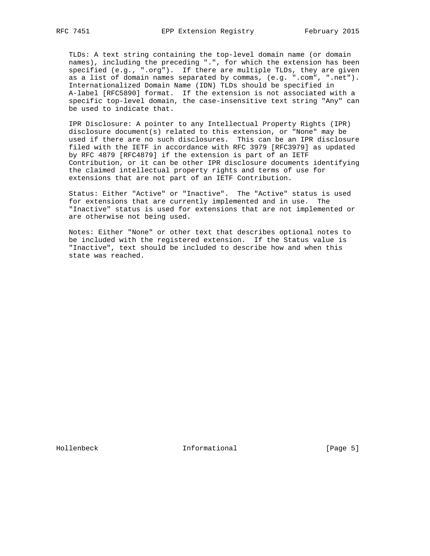TLDs: A text string containing the top-level domain name (or domain names), including the preceding ".", for which the extension has been specified (e.g., ".org"). If there are multiple TLDs, they are given as a list of domain names separated by commas, (e.g. ".com", ".net"). Internationalized Domain Name (IDN) TLDs should be specified in A-label [RFC5890] format. If the extension is not associated with a specific top-level domain, the case-insensitive text string "Any" can be used to indicate that.

 IPR Disclosure: A pointer to any Intellectual Property Rights (IPR) disclosure document(s) related to this extension, or "None" may be used if there are no such disclosures. This can be an IPR disclosure filed with the IETF in accordance with RFC 3979 [RFC3979] as updated by RFC 4879 [RFC4879] if the extension is part of an IETF Contribution, or it can be other IPR disclosure documents identifying the claimed intellectual property rights and terms of use for extensions that are not part of an IETF Contribution.

 Status: Either "Active" or "Inactive". The "Active" status is used for extensions that are currently implemented and in use. The "Inactive" status is used for extensions that are not implemented or are otherwise not being used.

 Notes: Either "None" or other text that describes optional notes to be included with the registered extension. If the Status value is "Inactive", text should be included to describe how and when this state was reached.

Hollenbeck Informational [Page 5]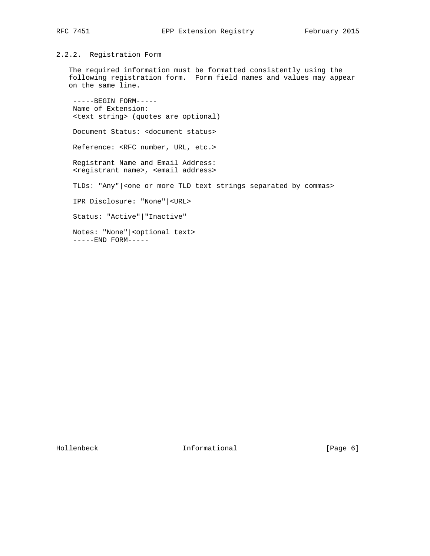# 2.2.2. Registration Form

 The required information must be formatted consistently using the following registration form. Form field names and values may appear on the same line.

 -----BEGIN FORM----- Name of Extension: <text string> (quotes are optional)

Document Status: <document status>

Reference: <RFC number, URL, etc.>

 Registrant Name and Email Address: <registrant name>, <email address>

TLDs: "Any" | < one or more TLD text strings separated by commas>

IPR Disclosure: "None"|<URL>

Status: "Active"|"Inactive"

 Notes: "None"|<optional text> -----END FORM-----

Hollenbeck Informational [Page 6]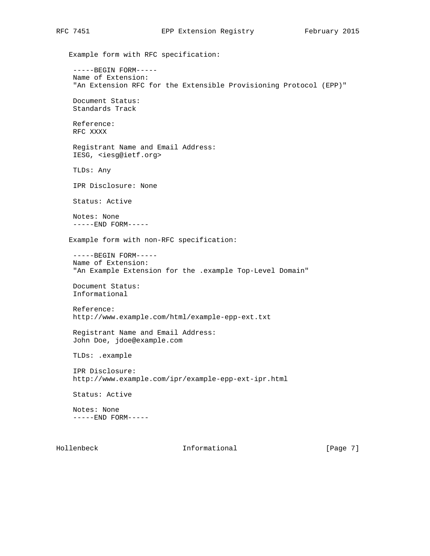Example form with RFC specification: -----BEGIN FORM----- Name of Extension: "An Extension RFC for the Extensible Provisioning Protocol (EPP)" Document Status: Standards Track Reference: RFC XXXX Registrant Name and Email Address: IESG, <iesg@ietf.org> TLDs: Any IPR Disclosure: None Status: Active Notes: None -----END FORM----- Example form with non-RFC specification: -----BEGIN FORM----- Name of Extension: "An Example Extension for the .example Top-Level Domain" Document Status: Informational Reference: http://www.example.com/html/example-epp-ext.txt Registrant Name and Email Address: John Doe, jdoe@example.com TLDs: .example IPR Disclosure: http://www.example.com/ipr/example-epp-ext-ipr.html Status: Active Notes: None -----END FORM-----

Hollenbeck **Informational** [Page 7]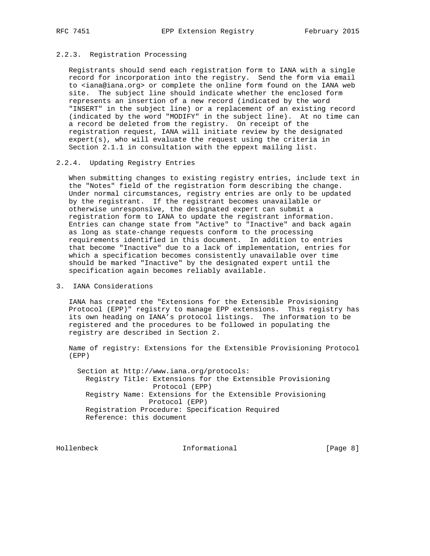## 2.2.3. Registration Processing

 Registrants should send each registration form to IANA with a single record for incorporation into the registry. Send the form via email to <iana@iana.org> or complete the online form found on the IANA web site. The subject line should indicate whether the enclosed form represents an insertion of a new record (indicated by the word "INSERT" in the subject line) or a replacement of an existing record (indicated by the word "MODIFY" in the subject line). At no time can a record be deleted from the registry. On receipt of the registration request, IANA will initiate review by the designated  $\text{expert}(s)$ , who will evaluate the request using the criteria in Section 2.1.1 in consultation with the eppext mailing list.

## 2.2.4. Updating Registry Entries

 When submitting changes to existing registry entries, include text in the "Notes" field of the registration form describing the change. Under normal circumstances, registry entries are only to be updated by the registrant. If the registrant becomes unavailable or otherwise unresponsive, the designated expert can submit a registration form to IANA to update the registrant information. Entries can change state from "Active" to "Inactive" and back again as long as state-change requests conform to the processing requirements identified in this document. In addition to entries that become "Inactive" due to a lack of implementation, entries for which a specification becomes consistently unavailable over time should be marked "Inactive" by the designated expert until the specification again becomes reliably available.

# 3. IANA Considerations

 IANA has created the "Extensions for the Extensible Provisioning Protocol (EPP)" registry to manage EPP extensions. This registry has its own heading on IANA's protocol listings. The information to be registered and the procedures to be followed in populating the registry are described in Section 2.

 Name of registry: Extensions for the Extensible Provisioning Protocol (EPP)

 Section at http://www.iana.org/protocols: Registry Title: Extensions for the Extensible Provisioning Protocol (EPP) Registry Name: Extensions for the Extensible Provisioning Protocol (EPP) Registration Procedure: Specification Required Reference: this document

Hollenbeck Informational [Page 8]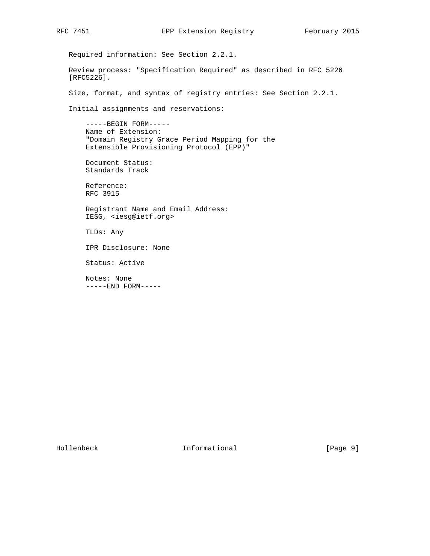Required information: See Section 2.2.1. Review process: "Specification Required" as described in RFC 5226 [RFC5226]. Size, format, and syntax of registry entries: See Section 2.2.1. Initial assignments and reservations: -----BEGIN FORM----- Name of Extension: "Domain Registry Grace Period Mapping for the Extensible Provisioning Protocol (EPP)" Document Status: Standards Track Reference: RFC 3915 Registrant Name and Email Address: IESG, <iesg@ietf.org> TLDs: Any IPR Disclosure: None Status: Active Notes: None -----END FORM-----

Hollenbeck Informational [Page 9]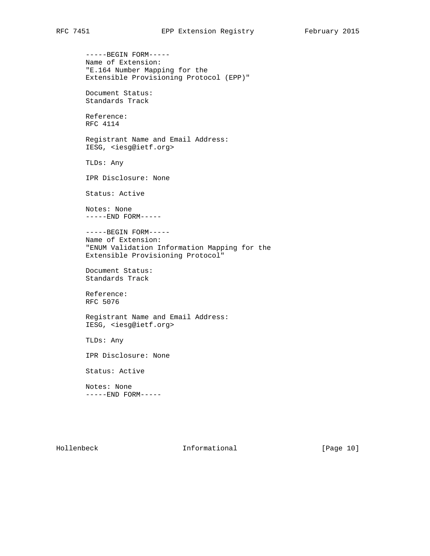-----BEGIN FORM----- Name of Extension: "E.164 Number Mapping for the Extensible Provisioning Protocol (EPP)" Document Status: Standards Track Reference: RFC 4114 Registrant Name and Email Address: IESG, <iesg@ietf.org> TLDs: Any IPR Disclosure: None Status: Active Notes: None -----END FORM----- -----BEGIN FORM----- Name of Extension: "ENUM Validation Information Mapping for the Extensible Provisioning Protocol" Document Status: Standards Track Reference: RFC 5076 Registrant Name and Email Address: IESG, <iesg@ietf.org> TLDs: Any IPR Disclosure: None Status: Active Notes: None -----END FORM-----

Hollenbeck Informational [Page 10]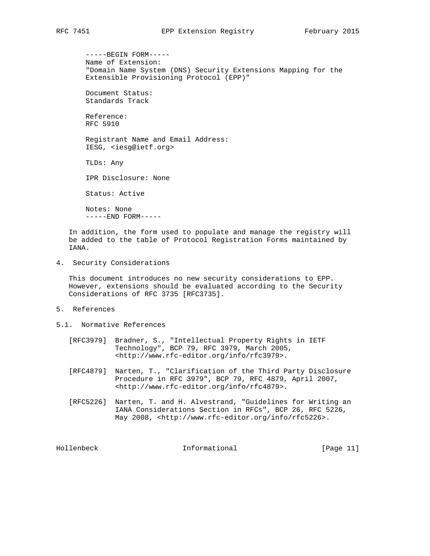-----BEGIN FORM----- Name of Extension: "Domain Name System (DNS) Security Extensions Mapping for the Extensible Provisioning Protocol (EPP)" Document Status: Standards Track Reference: RFC 5910

 Registrant Name and Email Address: IESG, <iesg@ietf.org>

TLDs: Any

IPR Disclosure: None

Status: Active

 Notes: None -----END FORM-----

 In addition, the form used to populate and manage the registry will be added to the table of Protocol Registration Forms maintained by IANA.

4. Security Considerations

 This document introduces no new security considerations to EPP. However, extensions should be evaluated according to the Security Considerations of RFC 3735 [RFC3735].

- 5. References
- 5.1. Normative References
- [RFC3979] Bradner, S., "Intellectual Property Rights in IETF Technology", BCP 79, RFC 3979, March 2005, <http://www.rfc-editor.org/info/rfc3979>.
	- [RFC4879] Narten, T., "Clarification of the Third Party Disclosure Procedure in RFC 3979", BCP 79, RFC 4879, April 2007, <http://www.rfc-editor.org/info/rfc4879>.
	- [RFC5226] Narten, T. and H. Alvestrand, "Guidelines for Writing an IANA Considerations Section in RFCs", BCP 26, RFC 5226, May 2008, <http://www.rfc-editor.org/info/rfc5226>.

Hollenbeck **Informational** [Page 11]